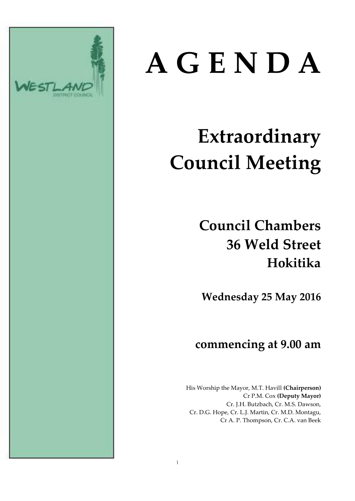

# **A G E N D A**

# **Extraordinary Council Meeting**

# **Council Chambers 36 Weld Street Hokitika**

**Wednesday 25 May 2016**

### **commencing at 9.00 am**

His Worship the Mayor, M.T. Havill **(Chairperson)** Cr P.M. Cox **(Deputy Mayor)** Cr. J.H. Butzbach, Cr. M.S. Dawson, Cr. D.G. Hope, Cr. L.J. Martin, Cr. M.D. Montagu, Cr A. P. Thompson, Cr. C.A. van Beek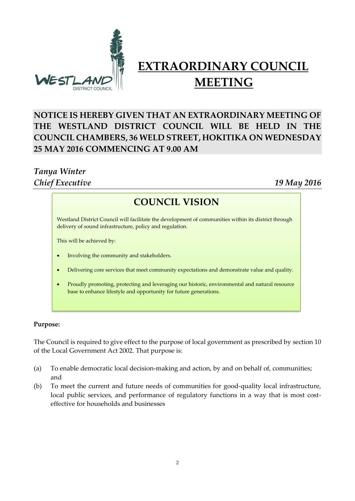

## **EXTRAORDINARY COUNCIL MEETING**

#### **NOTICE IS HEREBY GIVEN THAT AN EXTRAORDINARY MEETING OF THE WESTLAND DISTRICT COUNCIL WILL BE HELD IN THE COUNCIL CHAMBERS, 36 WELD STREET, HOKITIKA ON WEDNESDAY 25 MAY 2016 COMMENCING AT 9.00 AM**

#### *Tanya Winter Chief Executive 19 May 2016*

#### **COUNCIL VISION**

**COUNCIL VISION** delivery of sound infrastructure, policy and regulation. Westland District Council will facilitate the development of communities within its district through

This will be achieved by:

- Involving the community and stakeholders.
- Delivering core services that meet community expectations and demonstrate value and quality.
- Proudly promoting, protecting and leveraging our historic, environmental and natural resource base to enhance lifestyle and opportunity for future generations.

#### **Purpose:**

The Council is required to give effect to the purpose of local government as prescribed by section 10 of the Local Government Act 2002. That purpose is:

- (a) To enable democratic local decision-making and action, by and on behalf of, communities; and
- (b) To meet the current and future needs of communities for good-quality local infrastructure, local public services, and performance of regulatory functions in a way that is most costeffective for households and businesses